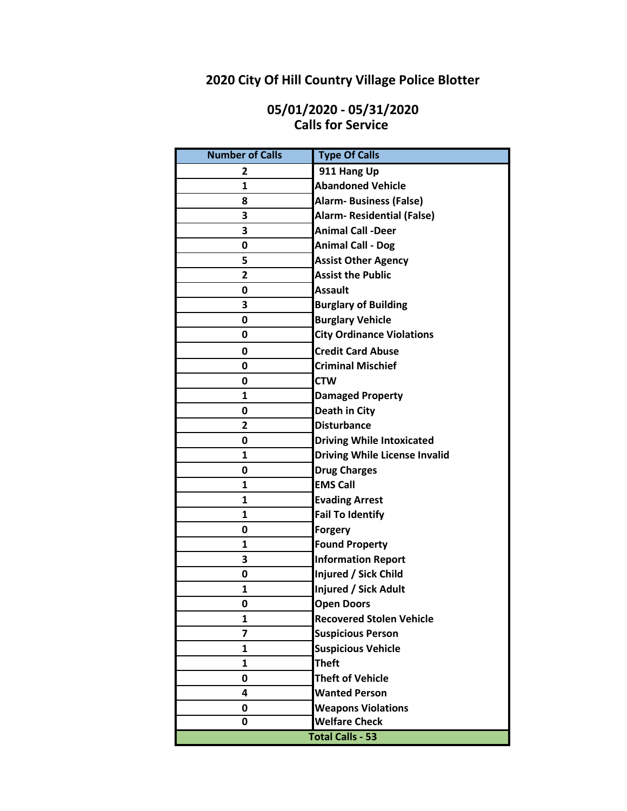# **2020 City Of Hill Country Village Police Blotter**

### **05/01/2020 - 05/31/2020 Calls for Service**

| <b>Number of Calls</b> | <b>Type Of Calls</b>                 |
|------------------------|--------------------------------------|
| 2                      | 911 Hang Up                          |
| 1                      | <b>Abandoned Vehicle</b>             |
| 8                      | <b>Alarm- Business (False)</b>       |
| 3                      | <b>Alarm- Residential (False)</b>    |
| 3                      | <b>Animal Call -Deer</b>             |
| 0                      | <b>Animal Call - Dog</b>             |
| 5                      | <b>Assist Other Agency</b>           |
| $\overline{2}$         | <b>Assist the Public</b>             |
| 0                      | <b>Assault</b>                       |
| 3                      | <b>Burglary of Building</b>          |
| 0                      | <b>Burglary Vehicle</b>              |
| 0                      | <b>City Ordinance Violations</b>     |
| 0                      | <b>Credit Card Abuse</b>             |
| 0                      | <b>Criminal Mischief</b>             |
| 0                      | <b>CTW</b>                           |
| 1                      | <b>Damaged Property</b>              |
| 0                      | Death in City                        |
| 2                      | <b>Disturbance</b>                   |
| 0                      | <b>Driving While Intoxicated</b>     |
| 1                      | <b>Driving While License Invalid</b> |
| 0                      | <b>Drug Charges</b>                  |
| 1                      | <b>EMS Call</b>                      |
| 1                      | <b>Evading Arrest</b>                |
| 1                      | <b>Fail To Identify</b>              |
| 0                      | <b>Forgery</b>                       |
| 1                      | <b>Found Property</b>                |
| 3                      | <b>Information Report</b>            |
| 0                      | Injured / Sick Child                 |
| 1                      | Injured / Sick Adult                 |
| 0                      | <b>Open Doors</b>                    |
| 1                      | <b>Recovered Stolen Vehicle</b>      |
| 7                      | <b>Suspicious Person</b>             |
| 1                      | <b>Suspicious Vehicle</b>            |
| 1                      | <b>Theft</b>                         |
| 0                      | <b>Theft of Vehicle</b>              |
| 4                      | <b>Wanted Person</b>                 |
| 0                      | <b>Weapons Violations</b>            |
| 0                      | <b>Welfare Check</b>                 |
|                        | <b>Total Calls - 53</b>              |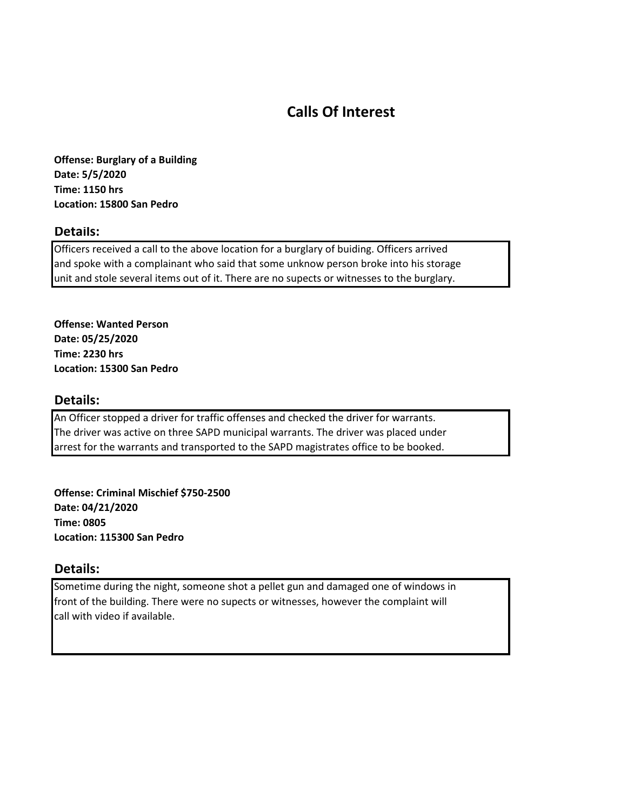## **Calls Of Interest**

**Offense: Burglary of a Building Date: 5/5/2020 Time: 1150 hrs Location: 15800 San Pedro**

#### **Details:**

Officers received a call to the above location for a burglary of buiding. Officers arrived and spoke with a complainant who said that some unknow person broke into his storage unit and stole several items out of it. There are no supects or witnesses to the burglary.

**Offense: Wanted Person Date: 05/25/2020 Time: 2230 hrs Location: 15300 San Pedro**

#### **Details:**

An Officer stopped a driver for traffic offenses and checked the driver for warrants. The driver was active on three SAPD municipal warrants. The driver was placed under arrest for the warrants and transported to the SAPD magistrates office to be booked.

**Offense: Criminal Mischief \$750-2500 Date: 04/21/2020 Time: 0805 Location: 115300 San Pedro**

#### **Details:**

Sometime during the night, someone shot a pellet gun and damaged one of windows in front of the building. There were no supects or witnesses, however the complaint will call with video if available.